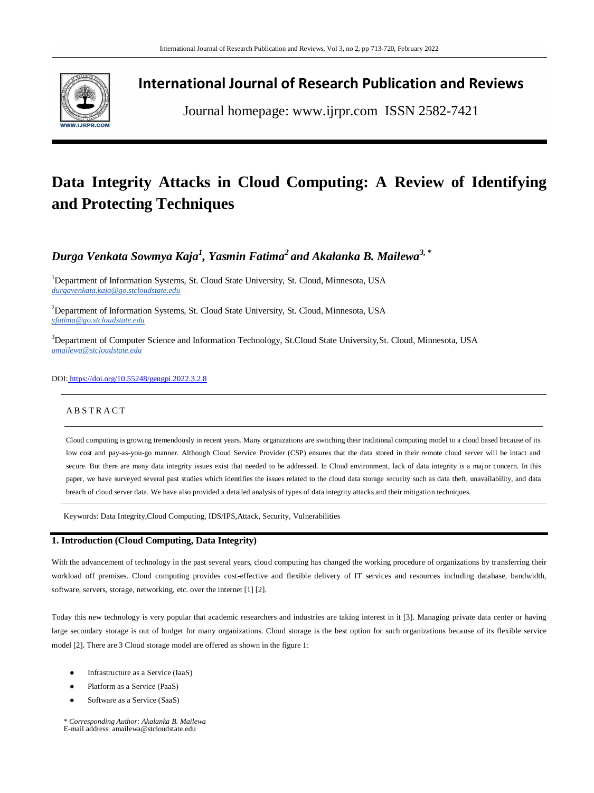

## **International Journal of Research Publication and Reviews**

Journal homepage: www.ijrpr.com ISSN 2582-7421

# **Data Integrity Attacks in Cloud Computing: A Review of Identifying and Protecting Techniques**

*Durga Venkata Sowmya Kaja<sup>1</sup> , Yasmin Fatima<sup>2</sup>and Akalanka B. Mailewa3, \**

<sup>1</sup>Department of Information Systems, St. Cloud State University, St. Cloud, Minnesota, USA *durgavenkata.kaja@go.stcloudstate.edu* 

<sup>2</sup>Department of Information Systems, St. Cloud State University, St. Cloud, Minnesota, USA *yfatima@go.stcloudstate.edu*

<sup>3</sup>Department of Computer Science and Information Technology, St.Cloud State University,St. Cloud, Minnesota, USA *[amailewa@stcloudstate.edu](mailto:amailewa@stcloudstate.edu)*

## DOI: <https://doi.org/10.55248/gengpi.2022.3.2.8>

## **ABSTRACT**

Cloud computing is growing tremendously in recent years. Many organizations are switching their traditional computing model to a cloud based because of its low cost and pay-as-you-go manner. Although Cloud Service Provider (CSP) ensures that the data stored in their remote cloud server will be intact and secure. But there are many data integrity issues exist that needed to be addressed. In Cloud environment, lack of data integrity is a major concern. In this paper, we have surveyed several past studies which identifies the issues related to the cloud data storage security such as data theft, unavailability, and data breach of cloud server data. We have also provided a detailed analysis of types of data integrity attacks and their mitigation techniques.

Keywords: Data Integrity,Cloud Computing, IDS/IPS,Attack, Security, Vulnerabilities

## **1. Introduction (Cloud Computing, Data Integrity)**

With the advancement of technology in the past several years, cloud computing has changed the working procedure of organizations by transferring their workload off premises. Cloud computing provides cost-effective and flexible delivery of IT services and resources including database, bandwidth, software, servers, storage, networking, etc. over the internet [1] [2].

Today this new technology is very popular that academic researchers and industries are taking interest in it [3]. Managing private data center or having large secondary storage is out of budget for many organizations. Cloud storage is the best option for such organizations because of its flexible service model [2]. There are 3 Cloud storage model are offered as shown in the figure 1:

- Infrastructure as a Service (IaaS)
- Platform as a Service (PaaS)
- Software as a Service (SaaS)

\* *Corresponding Author: Akalanka B. Mailewa* E-mail address: amailewa@stcloudstate.edu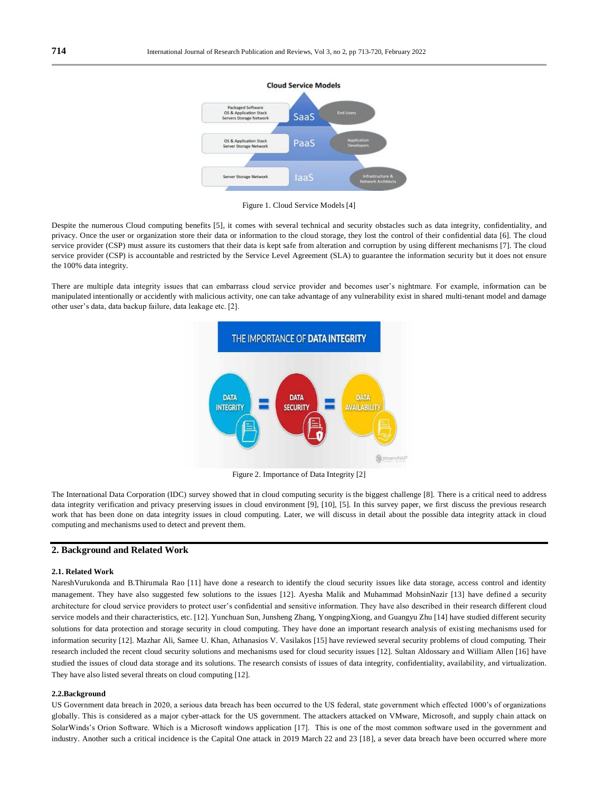

Figure 1. Cloud Service Models [4]

Despite the numerous Cloud computing benefits [5], it comes with several technical and security obstacles such as data integrity, confidentiality, and privacy. Once the user or organization store their data or information to the cloud storage, they lost the control of their confidential data [6]. The cloud service provider (CSP) must assure its customers that their data is kept safe from alteration and corruption by using different mechanisms [7]. The cloud service provider (CSP) is accountable and restricted by the Service Level Agreement (SLA) to guarantee the information security but it does not ensure the 100% data integrity.

There are multiple data integrity issues that can embarrass cloud service provider and becomes user's nightmare. For example, information can be manipulated intentionally or accidently with malicious activity, one can take advantage of any vulnerability exist in shared multi-tenant model and damage other user's data, data backup failure, data leakage etc. [2].



Figure 2. Importance of Data Integrity [2]

The International Data Corporation (IDC) survey showed that in cloud computing security is the biggest challenge [8]. There is a critical need to address data integrity verification and privacy preserving issues in cloud environment [9], [10], [5]. In this survey paper, we first discuss the previous research work that has been done on data integrity issues in cloud computing. Later, we will discuss in detail about the possible data integrity attack in cloud computing and mechanisms used to detect and prevent them.

## **2. Background and Related Work**

## **2.1. Related Work**

NareshVurukonda and B.Thirumala Rao [11] have done a research to identify the cloud security issues like data storage, access control and identity management. They have also suggested few solutions to the issues [12]. Ayesha Malik and Muhammad MohsinNazir [13] have defined a security architecture for cloud service providers to protect user's confidential and sensitive information. They have also described in their research different cloud service models and their characteristics, etc. [12]. Yunchuan Sun, Junsheng Zhang, YongpingXiong, and Guangyu Zhu [14] have studied different security solutions for data protection and storage security in cloud computing. They have done an important research analysis of existing mechanisms used for information security [12]. Mazhar Ali, Samee U. Khan, Athanasios V. Vasilakos [15] have reviewed several security problems of cloud computing. Their research included the recent cloud security solutions and mechanisms used for cloud security issues [12]. Sultan Aldossary and William Allen [16] have studied the issues of cloud data storage and its solutions. The research consists of issues of data integrity, confidentiality, availability, and virtualization. They have also listed several threats on cloud computing [12].

#### **2.2.Background**

US Government data breach in 2020, a serious data breach has been occurred to the US federal, state government which effected 1000's of organizations globally. This is considered as a major cyber-attack for the US government. The attackers attacked on VMware, Microsoft, and supply chain attack on SolarWinds's Orion Software. Which is a Microsoft windows application [17]. This is one of the most common software used in the government and industry. Another such a critical incidence is the Capital One attack in 2019 March 22 and 23 [18], a sever data breach have been occurred where more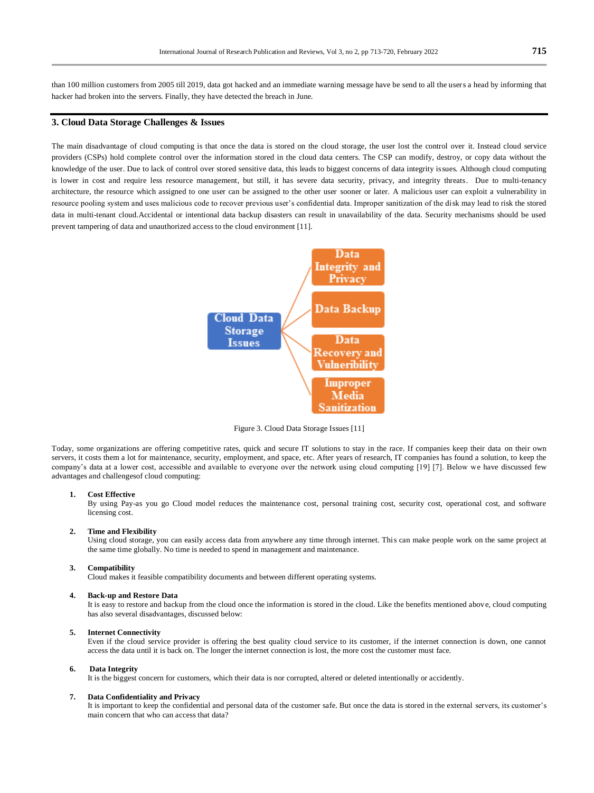than 100 million customers from 2005 till 2019, data got hacked and an immediate warning message have be send to all the users a head by informing that hacker had broken into the servers. Finally, they have detected the breach in June.

## **3. Cloud Data Storage Challenges & Issues**

The main disadvantage of cloud computing is that once the data is stored on the cloud storage, the user lost the control over it. Instead cloud service providers (CSPs) hold complete control over the information stored in the cloud data centers. The CSP can modify, destroy, or copy data without the knowledge of the user. Due to lack of control over stored sensitive data, this leads to biggest concerns of data integrity issues. Although cloud computing is lower in cost and require less resource management, but still, it has severe data security, privacy, and integrity threats. Due to multi-tenancy architecture, the resource which assigned to one user can be assigned to the other user sooner or later. A malicious user can exploit a vulnerability in resource pooling system and uses malicious code to recover previous user's confidential data. Improper sanitization of the disk may lead to risk the stored data in multi-tenant cloud.Accidental or intentional data backup disasters can result in unavailability of the data. Security mechanisms should be used prevent tampering of data and unauthorized access to the cloud environment [11].



Figure 3. Cloud Data Storage Issues [11]

Today, some organizations are offering competitive rates, quick and secure IT solutions to stay in the race. If companies keep their data on their own servers, it costs them a lot for maintenance, security, employment, and space, etc. After years of research, IT companies has found a solution, to keep the company's data at a lower cost, accessible and available to everyone over the network using cloud computing [19] [7]. Below we have discussed few advantages and challengesof cloud computing:

## **1. Cost Effective**

By using Pay-as you go Cloud model reduces the maintenance cost, personal training cost, security cost, operational cost, and software licensing cost.

#### **2. Time and Flexibility**

Using cloud storage, you can easily access data from anywhere any time through internet. This can make people work on the same project at the same time globally. No time is needed to spend in management and maintenance.

#### **3. Compatibility**

Cloud makes it feasible compatibility documents and between different operating systems.

#### **4. Back-up and Restore Data**

It is easy to restore and backup from the cloud once the information is stored in the cloud. Like the benefits mentioned above, cloud computing has also several disadvantages, discussed below:

#### **5. Internet Connectivity**

Even if the cloud service provider is offering the best quality cloud service to its customer, if the internet connection is down, one cannot access the data until it is back on. The longer the internet connection is lost, the more cost the customer must face.

#### **6. Data Integrity**

It is the biggest concern for customers, which their data is nor corrupted, altered or deleted intentionally or accidently.

#### **7. Data Confidentiality and Privacy**

It is important to keep the confidential and personal data of the customer safe. But once the data is stored in the external servers, its customer's main concern that who can access that data?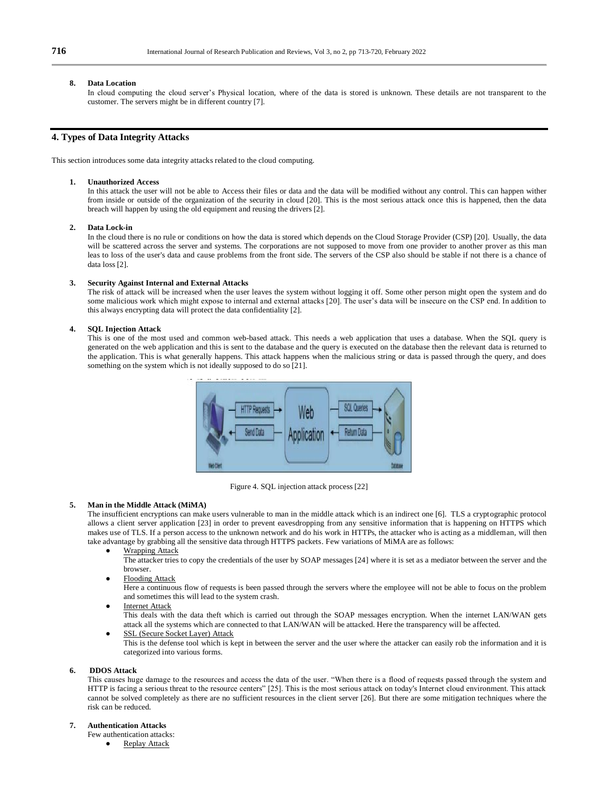#### **8. Data Location**

In cloud computing the cloud server's Physical location, where of the data is stored is unknown. These details are not transparent to the customer. The servers might be in different country [7].

## **4. Types of Data Integrity Attacks**

This section introduces some data integrity attacks related to the cloud computing.

#### **1. Unauthorized Access**

In this attack the user will not be able to Access their files or data and the data will be modified without any control. This can happen wither from inside or outside of the organization of the security in cloud [20]. This is the most serious attack once this is happened, then the data breach will happen by using the old equipment and reusing the drivers [2].

#### **2. Data Lock-in**

In the cloud there is no rule or conditions on how the data is stored which depends on the Cloud Storage Provider (CSP) [20]. Usually, the data will be scattered across the server and systems. The corporations are not supposed to move from one provider to another prover as this man leas to loss of the user's data and cause problems from the front side. The servers of the CSP also should be stable if not there is a chance of data loss [2].

## **3. Security Against Internal and External Attacks**

The risk of attack will be increased when the user leaves the system without logging it off. Some other person might open the system and do some malicious work which might expose to internal and external attacks [20]. The user's data will be insecure on the CSP end. In addition to this always encrypting data will protect the data confidentiality [2].

#### **4. SQL Injection Attack**

This is one of the most used and common web-based attack. This needs a web application that uses a database. When the SQL query is generated on the web application and this is sent to the database and the query is executed on the database then the relevant data is returned to the application. This is what generally happens. This attack happens when the malicious string or data is passed through the query, and does something on the system which is not ideally supposed to do so [21].



Figure 4. SQL injection attack process [22]

## **5. Man in the Middle Attack (MiMA)**

The insufficient encryptions can make users vulnerable to man in the middle attack which is an indirect one [6]. TLS a cryptographic protocol allows a client server application [23] in order to prevent eavesdropping from any sensitive information that is happening on HTTPS which makes use of TLS. If a person access to the unknown network and do his work in HTTPs, the attacker who is acting as a middleman, will then take advantage by grabbing all the sensitive data through HTTPS packets. Few variations of MiMA are as follows:

Wrapping Attack

The attacker tries to copy the credentials of the user by SOAP messages [24] where it is set as a mediator between the server and the browser.

**Flooding Attack** 

Here a continuous flow of requests is been passed through the servers where the employee will not be able to focus on the problem and sometimes this will lead to the system crash.

**Internet Attack** 

This deals with the data theft which is carried out through the SOAP messages encryption. When the internet LAN/WAN gets attack all the systems which are connected to that LAN/WAN will be attacked. Here the transparency will be affected.

SSL (Secure Socket Layer) Attack

This is the defense tool which is kept in between the server and the user where the attacker can easily rob the information and it is categorized into various forms.

#### **6. DDOS Attack**

This causes huge damage to the resources and access the data of the user. "When there is a flood of requests passed through the system and HTTP is facing a serious threat to the resource centers" [25]. This is the most serious attack on today's Internet cloud environment. This attack cannot be solved completely as there are no sufficient resources in the client server [26]. But there are some mitigation techniques where the risk can be reduced.

## **7. Authentication Attacks**

Few authentication attacks:

**Replay Attack**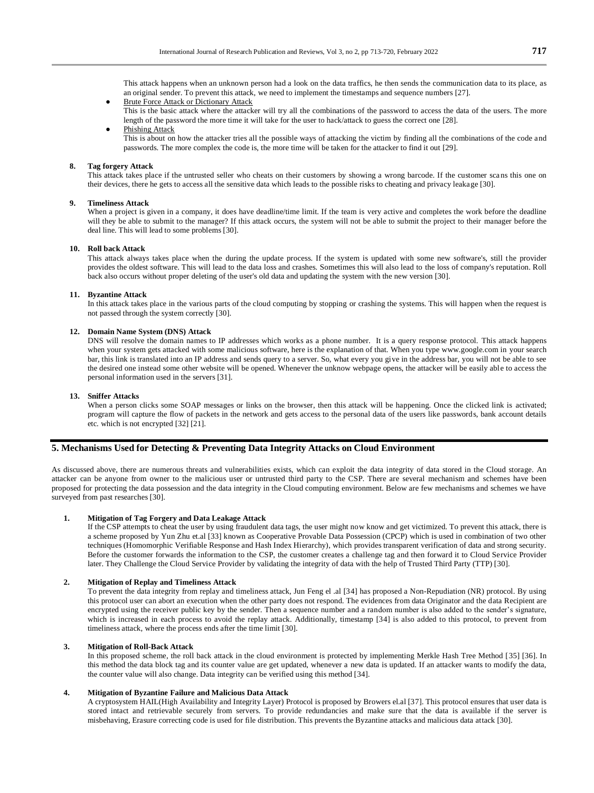This attack happens when an unknown person had a look on the data traffics, he then sends the communication data to its place, as an original sender. To prevent this attack, we need to implement the timestamps and sequence numbers [27].

- **Brute Force Attack or Dictionary Attack** This is the basic attack where the attacker will try all the combinations of the password to access the data of the users. The more length of the password the more time it will take for the user to hack/attack to guess the correct one [28].
- Phishing Attack This is about on how the attacker tries all the possible ways of attacking the victim by finding all the combinations of the code and passwords. The more complex the code is, the more time will be taken for the attacker to find it out [29].

#### **8. Tag forgery Attack**

This attack takes place if the untrusted seller who cheats on their customers by showing a wrong barcode. If the customer sca ns this one on their devices, there he gets to access all the sensitive data which leads to the possible risks to cheating and privacy leakage [30].

## **9. Timeliness Attack**

When a project is given in a company, it does have deadline/time limit. If the team is very active and completes the work before the deadline will they be able to submit to the manager? If this attack occurs, the system will not be able to submit the project to their manager before the deal line. This will lead to some problems [30].

#### **10. Roll back Attack**

This attack always takes place when the during the update process. If the system is updated with some new software's, still the provider provides the oldest software. This will lead to the data loss and crashes. Sometimes this will also lead to the loss of company's reputation. Roll back also occurs without proper deleting of the user's old data and updating the system with the new version [30].

#### **11. Byzantine Attack**

In this attack takes place in the various parts of the cloud computing by stopping or crashing the systems. This will happen when the request is not passed through the system correctly [30].

## **12. Domain Name System (DNS) Attack**

DNS will resolve the domain names to IP addresses which works as a phone number. It is a query response protocol. This attack happens when your system gets attacked with some malicious software, here is the explanation of that. When you type www.google.com in your search bar, this link is translated into an IP address and sends query to a server. So, what every you give in the address bar, you will not be able to see the desired one instead some other website will be opened. Whenever the unknow webpage opens, the attacker will be easily able to access the personal information used in the servers [31].

#### **13. Sniffer Attacks**

When a person clicks some SOAP messages or links on the browser, then this attack will be happening. Once the clicked link is activated: program will capture the flow of packets in the network and gets access to the personal data of the users like passwords, bank account details etc. which is not encrypted [32] [21].

## **5. Mechanisms Used for Detecting & Preventing Data Integrity Attacks on Cloud Environment**

As discussed above, there are numerous threats and vulnerabilities exists, which can exploit the data integrity of data stored in the Cloud storage. An attacker can be anyone from owner to the malicious user or untrusted third party to the CSP. There are several mechanism and schemes have been proposed for protecting the data possession and the data integrity in the Cloud computing environment. Below are few mechanisms and schemes we have surveyed from past researches [30].

## **1. Mitigation of Tag Forgery and Data Leakage Attack**

If the CSP attempts to cheat the user by using fraudulent data tags, the user might now know and get victimized. To prevent this attack, there is a scheme proposed by Yun Zhu et.al [33] known as Cooperative Provable Data Possession (CPCP) which is used in combination of two other techniques (Homomorphic Verifiable Response and Hash Index Hierarchy), which provides transparent verification of data and strong security. Before the customer forwards the information to the CSP, the customer creates a challenge tag and then forward it to Cloud Service Provider later. They Challenge the Cloud Service Provider by validating the integrity of data with the help of Trusted Third Party (TTP) [30].

#### **2. Mitigation of Replay and Timeliness Attack**

To prevent the data integrity from replay and timeliness attack, Jun Feng el .al [34] has proposed a Non-Repudiation (NR) protocol. By using this protocol user can abort an execution when the other party does not respond. The evidences from data Originator and the data Recipient are encrypted using the receiver public key by the sender. Then a sequence number and a random number is also added to the sender's signature, which is increased in each process to avoid the replay attack. Additionally, timestamp [34] is also added to this protocol, to prevent from timeliness attack, where the process ends after the time limit [30].

#### **3. Mitigation of Roll-Back Attack**

In this proposed scheme, the roll back attack in the cloud environment is protected by implementing Merkle Hash Tree Method [35] [36]. In this method the data block tag and its counter value are get updated, whenever a new data is updated. If an attacker wants to modify the data, the counter value will also change. Data integrity can be verified using this method [34].

#### **4. Mitigation of Byzantine Failure and Malicious Data Attack**

A cryptosystem HAIL(High Availability and Integrity Layer) Protocol is proposed by Browers el.al [37]. This protocol ensures that user data is stored intact and retrievable securely from servers. To provide redundancies and make sure that the data is available if the server is misbehaving, Erasure correcting code is used for file distribution. This prevents the Byzantine attacks and malicious data attack [30].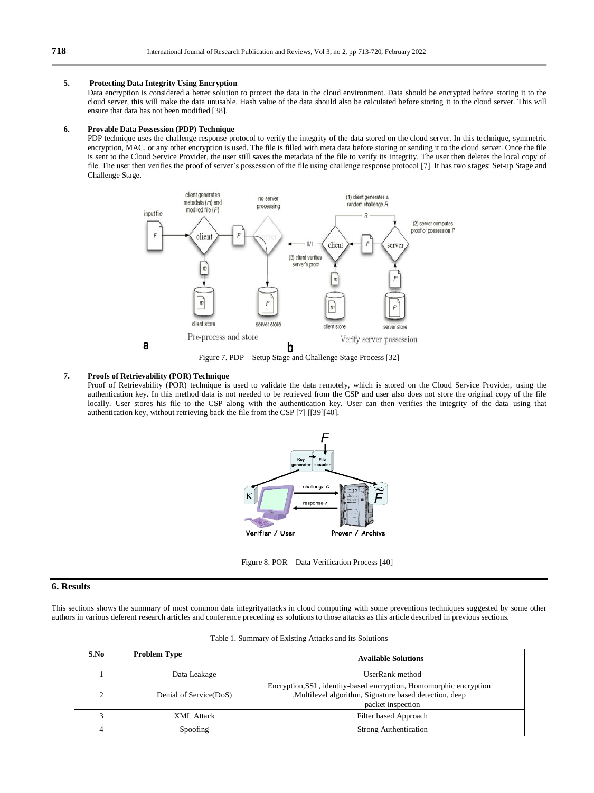## **5. Protecting Data Integrity Using Encryption**

Data encryption is considered a better solution to protect the data in the cloud environment. Data should be encrypted before storing it to the cloud server, this will make the data unusable. Hash value of the data should also be calculated before storing it to the cloud server. This will ensure that data has not been modified [38].

#### **6. Provable Data Possession (PDP) Technique**

PDP technique uses the challenge response protocol to verify the integrity of the data stored on the cloud server. In this technique, symmetric encryption, MAC, or any other encryption is used. The file is filled with meta data before storing or sending it to the cloud server. Once the file is sent to the Cloud Service Provider, the user still saves the metadata of the file to verify its integrity. The user then deletes the local copy of file. The user then verifies the proof of server's possession of the file using challenge response protocol [7]. It has two stages: Set-up Stage and Challenge Stage.



#### Figure 7. PDP – Setup Stage and Challenge Stage Process [32]

## **7. Proofs of Retrievability (POR) Technique**

Proof of Retrievability (POR) technique is used to validate the data remotely, which is stored on the Cloud Service Provider, using the authentication key. In this method data is not needed to be retrieved from the CSP and user also does not store the original copy of the file locally. User stores his file to the CSP along with the authentication key. User can then verifies the integrity of the data using that authentication key, without retrieving back the file from the CSP [7] [[39][40].



Figure 8. POR – Data Verification Process [40]

## **6. Results**

This sections shows the summary of most common data integrityattacks in cloud computing with some preventions techniques suggested by some other authors in various deferent research articles and conference preceding as solutions to those attacks as this article described in previous sections.

| S.No | <b>Problem Type</b>    | <b>Available Solutions</b>                                                                                                                        |
|------|------------------------|---------------------------------------------------------------------------------------------------------------------------------------------------|
|      | Data Leakage           | UserRank method                                                                                                                                   |
|      | Denial of Service(DoS) | Encryption, SSL, identity-based encryption, Homomorphic encryption<br>,Multilevel algorithm, Signature based detection, deep<br>packet inspection |
|      | XML Attack             | Filter based Approach                                                                                                                             |
|      | Spoofing               | <b>Strong Authentication</b>                                                                                                                      |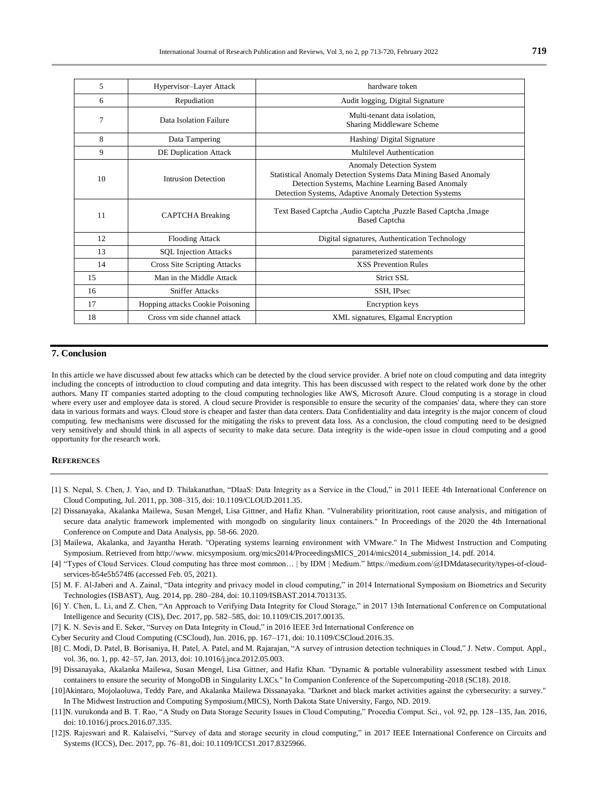| 5  | Hypervisor-Layer Attack          | hardware token                                                                                                                                                                                            |
|----|----------------------------------|-----------------------------------------------------------------------------------------------------------------------------------------------------------------------------------------------------------|
| 6  | Repudiation                      | Audit logging, Digital Signature                                                                                                                                                                          |
| 7  | Data Isolation Failure           | Multi-tenant data isolation.<br>Sharing Middleware Scheme                                                                                                                                                 |
| 8  | Data Tampering                   | Hashing/ Digital Signature                                                                                                                                                                                |
| 9  | <b>DE Duplication Attack</b>     | Multilevel Authentication                                                                                                                                                                                 |
| 10 | Intrusion Detection              | Anomaly Detection System<br>Statistical Anomaly Detection Systems Data Mining Based Anomaly<br>Detection Systems, Machine Learning Based Anomaly<br>Detection Systems, Adaptive Anomaly Detection Systems |
| 11 | <b>CAPTCHA</b> Breaking          | Text Based Captcha, Audio Captcha, Puzzle Based Captcha, Image<br><b>Based Captcha</b>                                                                                                                    |
| 12 | <b>Flooding Attack</b>           | Digital signatures, Authentication Technology                                                                                                                                                             |
| 13 | <b>SQL Injection Attacks</b>     | parameterized statements                                                                                                                                                                                  |
| 14 | Cross Site Scripting Attacks     | <b>XSS Prevention Rules</b>                                                                                                                                                                               |
| 15 | Man in the Middle Attack         | Strict SSL                                                                                                                                                                                                |
| 16 | <b>Sniffer Attacks</b>           | SSH, IPsec                                                                                                                                                                                                |
| 17 | Hopping attacks Cookie Poisoning | Encryption keys                                                                                                                                                                                           |
| 18 | Cross ym side channel attack     | XML signatures, Elgamal Encryption                                                                                                                                                                        |

## **7. Conclusion**

In this article we have discussed about few attacks which can be detected by the cloud service provider. A brief note on cloud computing and data integrity including the concepts of introduction to cloud computing and data integrity. This has been discussed with respect to the related work done by the other authors. Many IT companies started adopting to the cloud computing technologies like AWS, Microsoft Azure. Cloud computing is a storage in cloud where every user and employee data is stored. A cloud secure Provider is responsible to ensure the security of the companies' data, where they can store data in various formats and ways. Cloud store is cheaper and faster than data centers. Data Confidentiality and data integrity is the major concern of cloud computing. few mechanisms were discussed for the mitigating the risks to prevent data loss. As a conclusion, the cloud computing need to be designed very sensitively and should think in all aspects of security to make data secure. Data integrity is the wide-open issue in cloud computing and a good opportunity for the research work.

## **REFERENCES**

- [1] S. Nepal, S. Chen, J. Yao, and D. Thilakanathan, "DIaaS: Data Integrity as a Service in the Cloud," in 2011 IEEE 4th International Conference on Cloud Computing, Jul. 2011, pp. 308–315, doi: 10.1109/CLOUD.2011.35.
- [2] Dissanayaka, Akalanka Mailewa, Susan Mengel, Lisa Gittner, and Hafiz Khan. "Vulnerability prioritization, root cause analysis, and mitigation of secure data analytic framework implemented with mongodb on singularity linux containers." In Proceedings of the 2020 the 4th International Conference on Compute and Data Analysis, pp. 58-66. 2020.
- [3] Mailewa, Akalanka, and Jayantha Herath. "Operating systems learning environment with VMware." In The Midwest Instruction and Computing Symposium. Retrieved from http://www. micsymposium. org/mics2014/ProceedingsMICS\_2014/mics2014\_submission\_14. pdf. 2014.
- [4] "Types of Cloud Services. Cloud computing has three most common… | by IDM | Medium." https://medium.com/@IDMdatasecurity/types-of-cloudservices-b54e5b574f6 (accessed Feb. 05, 2021).
- [5] M. F. Al-Jaberi and A. Zainal, "Data integrity and privacy model in cloud computing," in 2014 International Symposium on Biometrics and Security Technologies (ISBAST), Aug. 2014, pp. 280–284, doi: 10.1109/ISBAST.2014.7013135.
- [6] Y. Chen, L. Li, and Z. Chen, "An Approach to Verifying Data Integrity for Cloud Storage," in 2017 13th International Conference on Computational Intelligence and Security (CIS), Dec. 2017, pp. 582–585, doi: 10.1109/CIS.2017.00135.
- [7] K. N. Sevis and E. Seker, "Survey on Data Integrity in Cloud," in 2016 IEEE 3rd International Conference on
- Cyber Security and Cloud Computing (CSCloud), Jun. 2016, pp. 167–171, doi: 10.1109/CSCloud.2016.35.
- [8] C. Modi, D. Patel, B. Borisaniya, H. Patel, A. Patel, and M. Rajarajan, "A survey of intrusion detection techniques in Cloud," J. Netw. Comput. Appl., vol. 36, no. 1, pp. 42–57, Jan. 2013, doi: 10.1016/j.jnca.2012.05.003.
- [9] Dissanayaka, Akalanka Mailewa, Susan Mengel, Lisa Gittner, and Hafiz Khan. "Dynamic & portable vulnerability assessment testbed with Linux containers to ensure the security of MongoDB in Singularity LXCs." In Companion Conference of the Supercomputing-2018 (SC18). 2018.
- [10]Akintaro, Mojolaoluwa, Teddy Pare, and Akalanka Mailewa Dissanayaka. "Darknet and black market activities against the cybersecurity: a survey." In The Midwest Instruction and Computing Symposium.(MICS), North Dakota State University, Fargo, ND. 2019.
- [11]N. vurukonda and B. T. Rao, "A Study on Data Storage Security Issues in Cloud Computing," Procedia Comput. Sci., vol. 92, pp. 128–135, Jan. 2016, doi: 10.1016/j.procs.2016.07.335.
- [12]S. Rajeswari and R. Kalaiselvi, "Survey of data and storage security in cloud computing," in 2017 IEEE International Conference on Circuits and Systems (ICCS), Dec. 2017, pp. 76–81, doi: 10.1109/ICCS1.2017.8325966.